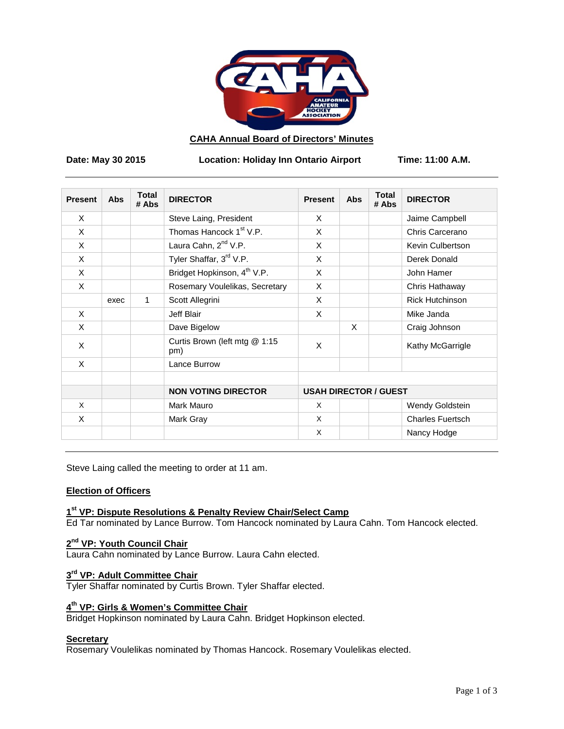

## **CAHA Annual Board of Directors' Minutes**

Date: May 30 2015 Location: Holiday Inn Ontario Airport Time: 11:00 A.M.

| <b>Present</b> | <b>Abs</b> | <b>Total</b><br># Abs | <b>DIRECTOR</b>                         | <b>Present</b>               | Abs | <b>Total</b><br># Abs | <b>DIRECTOR</b>         |
|----------------|------------|-----------------------|-----------------------------------------|------------------------------|-----|-----------------------|-------------------------|
| X              |            |                       | Steve Laing, President                  | X                            |     |                       | Jaime Campbell          |
| X              |            |                       | Thomas Hancock 1 <sup>st</sup> V.P.     | X                            |     |                       | Chris Carcerano         |
| X              |            |                       | Laura Cahn, 2 <sup>nd</sup> V.P.        | X                            |     |                       | Kevin Culbertson        |
| X              |            |                       | Tyler Shaffar, 3rd V.P.                 | X                            |     |                       | Derek Donald            |
| X              |            |                       | Bridget Hopkinson, 4 <sup>th</sup> V.P. | X                            |     |                       | John Hamer              |
| X              |            |                       | Rosemary Voulelikas, Secretary          | X                            |     |                       | Chris Hathaway          |
|                | exec       | 1                     | Scott Allegrini                         | X                            |     |                       | <b>Rick Hutchinson</b>  |
| X              |            |                       | Jeff Blair                              | X                            |     |                       | Mike Janda              |
| X              |            |                       | Dave Bigelow                            |                              | X   |                       | Craig Johnson           |
| X              |            |                       | Curtis Brown (left mtg @ 1:15<br>pm)    | X                            |     |                       | Kathy McGarrigle        |
| $\times$       |            |                       | Lance Burrow                            |                              |     |                       |                         |
|                |            |                       | <b>NON VOTING DIRECTOR</b>              | <b>USAH DIRECTOR / GUEST</b> |     |                       |                         |
| X              |            |                       | Mark Mauro                              | X                            |     |                       | Wendy Goldstein         |
| X              |            |                       | Mark Gray                               | X                            |     |                       | <b>Charles Fuertsch</b> |
|                |            |                       |                                         | X                            |     |                       | Nancy Hodge             |

Steve Laing called the meeting to order at 11 am.

# **Election of Officers**

# **1st VP: Dispute Resolutions & Penalty Review Chair/Select Camp**

Ed Tar nominated by Lance Burrow. Tom Hancock nominated by Laura Cahn. Tom Hancock elected.

# **2nd VP: Youth Council Chair**

Laura Cahn nominated by Lance Burrow. Laura Cahn elected.

# **3rd VP: Adult Committee Chair**

Tyler Shaffar nominated by Curtis Brown. Tyler Shaffar elected.

# **4th VP: Girls & Women's Committee Chair**

Bridget Hopkinson nominated by Laura Cahn. Bridget Hopkinson elected.

#### **Secretary**

Rosemary Voulelikas nominated by Thomas Hancock. Rosemary Voulelikas elected.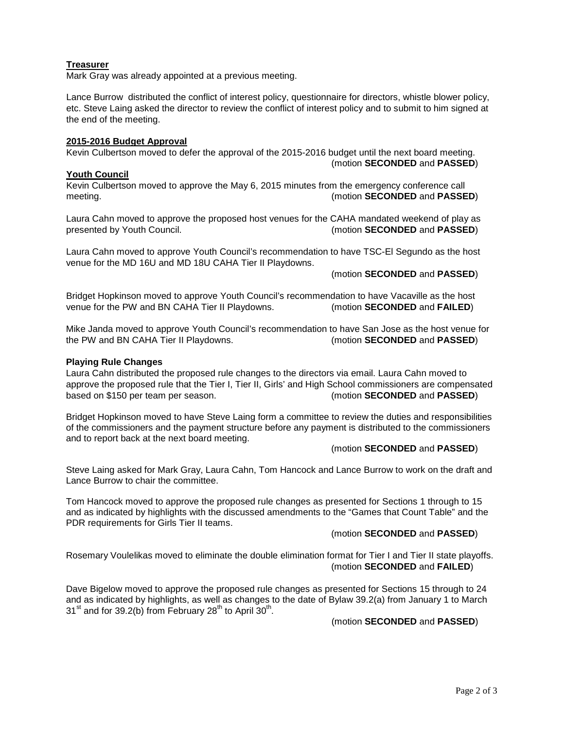# **Treasurer**

Mark Gray was already appointed at a previous meeting.

Lance Burrow distributed the conflict of interest policy, questionnaire for directors, whistle blower policy, etc. Steve Laing asked the director to review the conflict of interest policy and to submit to him signed at the end of the meeting.

#### **2015-2016 Budget Approval**

Kevin Culbertson moved to defer the approval of the 2015-2016 budget until the next board meeting. (motion **SECONDED** and **PASSED**)

#### **Youth Council**

Kevin Culbertson moved to approve the May 6, 2015 minutes from the emergency conference call meeting. (motion **SECONDED** and **PASSED**)

Laura Cahn moved to approve the proposed host venues for the CAHA mandated weekend of play as presented by Youth Council. (motion **SECONDED** and **PASSED**)

Laura Cahn moved to approve Youth Council's recommendation to have TSC-El Segundo as the host venue for the MD 16U and MD 18U CAHA Tier II Playdowns.

(motion **SECONDED** and **PASSED**)

Bridget Hopkinson moved to approve Youth Council's recommendation to have Vacaville as the host venue for the PW and BN CAHA Tier II Playdowns. (motion **SECONDED** and **FAILED**)

Mike Janda moved to approve Youth Council's recommendation to have San Jose as the host venue for the PW and BN CAHA Tier II Playdowns. (motion **SECONDED** and **PASSED**)

#### **Playing Rule Changes**

Laura Cahn distributed the proposed rule changes to the directors via email. Laura Cahn moved to approve the proposed rule that the Tier I, Tier II, Girls' and High School commissioners are compensated based on \$150 per team per season. (motion **SECONDED** and **PASSED**)

Bridget Hopkinson moved to have Steve Laing form a committee to review the duties and responsibilities of the commissioners and the payment structure before any payment is distributed to the commissioners and to report back at the next board meeting.

#### (motion **SECONDED** and **PASSED**)

Steve Laing asked for Mark Gray, Laura Cahn, Tom Hancock and Lance Burrow to work on the draft and Lance Burrow to chair the committee.

Tom Hancock moved to approve the proposed rule changes as presented for Sections 1 through to 15 and as indicated by highlights with the discussed amendments to the "Games that Count Table" and the PDR requirements for Girls Tier II teams.

## (motion **SECONDED** and **PASSED**)

Rosemary Voulelikas moved to eliminate the double elimination format for Tier I and Tier II state playoffs. (motion **SECONDED** and **FAILED**)

Dave Bigelow moved to approve the proposed rule changes as presented for Sections 15 through to 24 and as indicated by highlights, as well as changes to the date of Bylaw 39.2(a) from January 1 to March  $31<sup>st</sup>$  and for 39.2(b) from February 28<sup>th</sup> to April 30<sup>th</sup>.

## (motion **SECONDED** and **PASSED**)